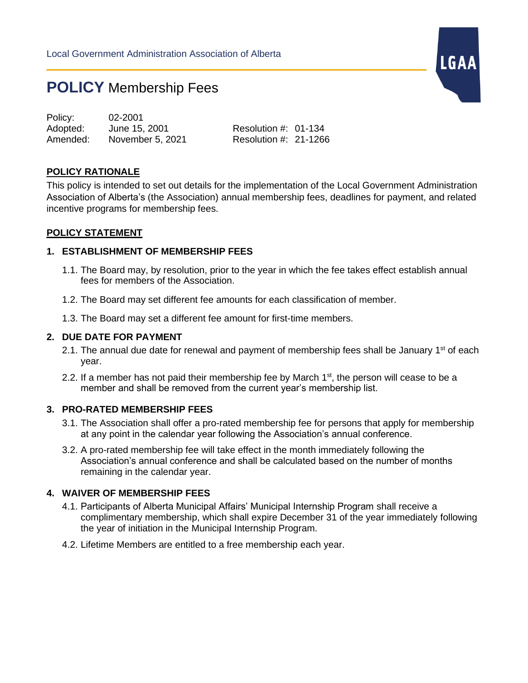# **POLICY** Membership Fees

Policy: 02-2001 Adopted: June 15, 2001 Resolution #: 01-134 Amended: November 5, 2021 Resolution #: 21-1266

## **POLICY RATIONALE**

This policy is intended to set out details for the implementation of the Local Government Administration Association of Alberta's (the Association) annual membership fees, deadlines for payment, and related incentive programs for membership fees.

LGAA

### **POLICY STATEMENT**

## **1. ESTABLISHMENT OF MEMBERSHIP FEES**

- 1.1. The Board may, by resolution, prior to the year in which the fee takes effect establish annual fees for members of the Association.
- 1.2. The Board may set different fee amounts for each classification of member.
- 1.3. The Board may set a different fee amount for first-time members.

#### **2. DUE DATE FOR PAYMENT**

- 2.1. The annual due date for renewal and payment of membership fees shall be January  $1<sup>st</sup>$  of each year.
- 2.2. If a member has not paid their membership fee by March  $1<sup>st</sup>$ , the person will cease to be a member and shall be removed from the current year's membership list.

## **3. PRO-RATED MEMBERSHIP FEES**

- 3.1. The Association shall offer a pro-rated membership fee for persons that apply for membership at any point in the calendar year following the Association's annual conference.
- 3.2. A pro-rated membership fee will take effect in the month immediately following the Association's annual conference and shall be calculated based on the number of months remaining in the calendar year.

#### **4. WAIVER OF MEMBERSHIP FEES**

- 4.1. Participants of Alberta Municipal Affairs' Municipal Internship Program shall receive a complimentary membership, which shall expire December 31 of the year immediately following the year of initiation in the Municipal Internship Program.
- 4.2. Lifetime Members are entitled to a free membership each year.